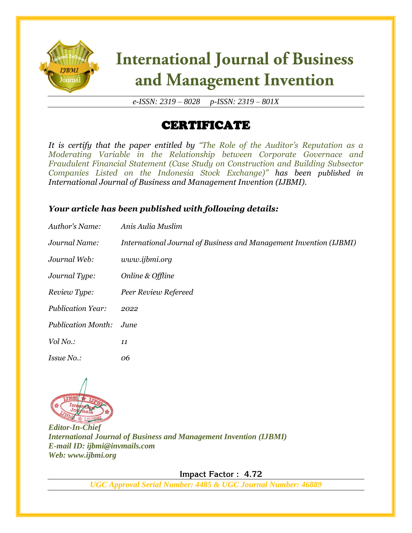

# **International Journal of Business** and Management Invention

*e-ISSN: 2319 – 8028 p-ISSN: 2319 – 801X*

## CERTIFICATE

*It is certify that the paper entitled by "The Role of the Auditor's Reputation as a Moderating Variable in the Relationship between Corporate Governace and Fraudulent Financial Statement (Case Study on Construction and Building Subsector Companies Listed on the Indonesia Stock Exchange)" has been published in International Journal of Business and Management Invention (IJBMI).*

### *Your article has been published with following details:*

| Author's Name:            | Anis Aulia Muslim                                                  |
|---------------------------|--------------------------------------------------------------------|
| Journal Name:             | International Journal of Business and Management Invention (IJBMI) |
| Journal Web:              | www.ijbmi.org                                                      |
| Journal Type:             | Online & Offline                                                   |
| Review Type:              | Peer Review Refereed                                               |
| <b>Publication Year:</b>  | 2022                                                               |
| <b>Publication Month:</b> | June                                                               |
| Vol No.:                  | 11                                                                 |
| Issue No.:                | 06                                                                 |



*Editor-In-Chief International Journal of Business and Management Invention (IJBMI) E-mail ID: ijbmi@invmails.com Web: www.ijbmi.org*

 **Impact Factor : 4.72** 

*UGC Approval Serial Number: 4485 & UGC Journal Number: 46889*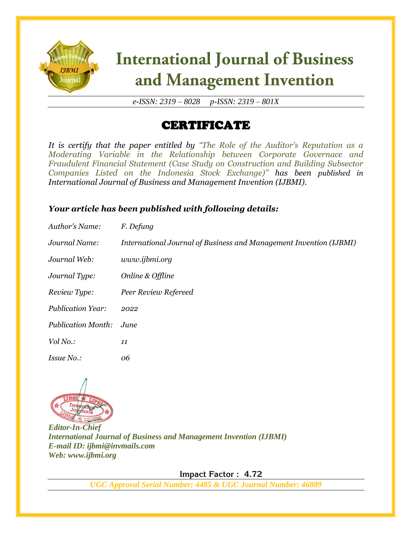

# **International Journal of Business** and Management Invention

*e-ISSN: 2319 – 8028 p-ISSN: 2319 – 801X*

## CERTIFICATE

*It is certify that the paper entitled by "The Role of the Auditor's Reputation as a Moderating Variable in the Relationship between Corporate Governace and Fraudulent Financial Statement (Case Study on Construction and Building Subsector Companies Listed on the Indonesia Stock Exchange)" has been published in International Journal of Business and Management Invention (IJBMI).*

### *Your article has been published with following details:*

| Author's Name:            | F. Defung                                                          |
|---------------------------|--------------------------------------------------------------------|
| Journal Name:             | International Journal of Business and Management Invention (IJBMI) |
| Journal Web:              | www.ijbmi.org                                                      |
| Journal Type:             | Online & Offline                                                   |
| Review Type:              | Peer Review Refereed                                               |
| <b>Publication Year:</b>  | 2022                                                               |
| <b>Publication Month:</b> | June.                                                              |
| Vol No.:                  | 11                                                                 |
| Issue No.:                | 06                                                                 |



*Editor-In-Chief International Journal of Business and Management Invention (IJBMI) E-mail ID: ijbmi@invmails.com Web: www.ijbmi.org*

 **Impact Factor : 4.72** 

*UGC Approval Serial Number: 4485 & UGC Journal Number: 46889*